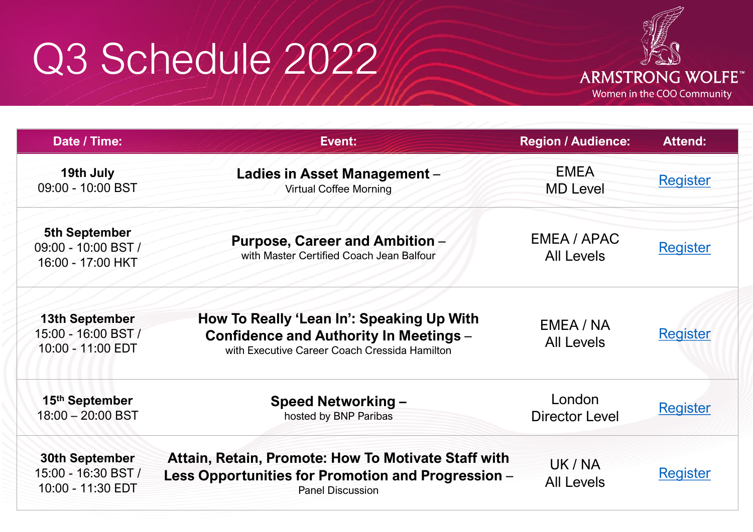## Q3 Schedule 2022



| Date / Time:                                                      | Event:                                                                                                                                      | <b>Region / Audience:</b>        | <b>Attend:</b>  |
|-------------------------------------------------------------------|---------------------------------------------------------------------------------------------------------------------------------------------|----------------------------------|-----------------|
| 19th July<br>09:00 - 10:00 BST                                    | Ladies in Asset Management -<br><b>Virtual Coffee Morning</b>                                                                               | <b>EMEA</b><br><b>MD Level</b>   | <b>Register</b> |
| <b>5th September</b><br>09:00 - 10:00 BST /<br>16:00 - 17:00 HKT  | <b>Purpose, Career and Ambition -</b><br>with Master Certified Coach Jean Balfour                                                           | EMEA / APAC<br><b>All Levels</b> | <b>Register</b> |
| <b>13th September</b><br>15:00 - 16:00 BST /<br>10:00 - 11:00 EDT | How To Really 'Lean In': Speaking Up With<br><b>Confidence and Authority In Meetings -</b><br>with Executive Career Coach Cressida Hamilton | EMEA / NA<br><b>All Levels</b>   | <b>Register</b> |
| 15th September<br>$18:00 - 20:00$ BST                             | <b>Speed Networking -</b><br>hosted by BNP Paribas                                                                                          | London<br><b>Director Level</b>  | <b>Register</b> |
| <b>30th September</b><br>15:00 - 16:30 BST /<br>10:00 - 11:30 EDT | Attain, Retain, Promote: How To Motivate Staff with<br>Less Opportunities for Promotion and Progression -<br><b>Panel Discussion</b>        | UK / NA<br><b>All Levels</b>     | <b>Register</b> |